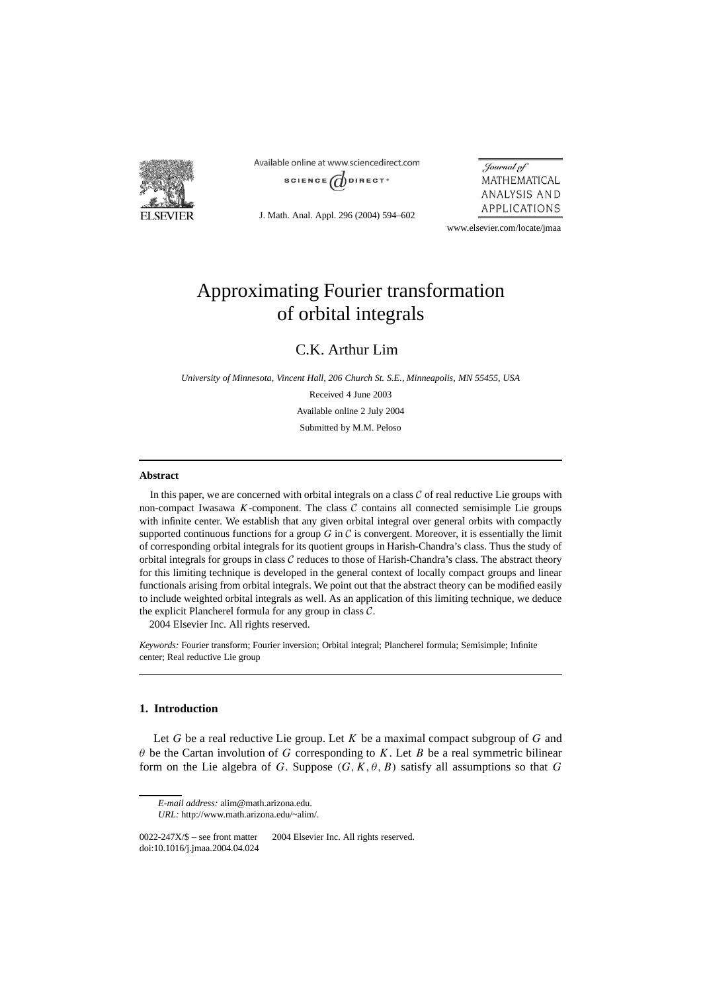

Available online at www.sciencedirect.com SCIENCE  $\overrightarrow{a}$ DIRECT<sup>®</sup>

J. Math. Anal. Appl. 296 (2004) 594–602

Journal of MATHEMATICAL ANALYSIS AND APPLICATIONS

www.elsevier.com/locate/jmaa

# Approximating Fourier transformation of orbital integrals

C.K. Arthur Lim

*University of Minnesota, Vincent Hall, 206 Church St. S.E., Minneapolis, MN 55455, USA* Received 4 June 2003 Available online 2 July 2004 Submitted by M.M. Peloso

### **Abstract**

In this paper, we are concerned with orbital integrals on a class  $C$  of real reductive Lie groups with non-compact Iwasawa  $K$ -component. The class  $C$  contains all connected semisimple Lie groups with infinite center. We establish that any given orbital integral over general orbits with compactly supported continuous functions for a group  $G$  in  $C$  is convergent. Moreover, it is essentially the limit of corresponding orbital integrals for its quotient groups in Harish-Chandra's class. Thus the study of orbital integrals for groups in class  $C$  reduces to those of Harish-Chandra's class. The abstract theory for this limiting technique is developed in the general context of locally compact groups and linear functionals arising from orbital integrals. We point out that the abstract theory can be modified easily to include weighted orbital integrals as well. As an application of this limiting technique, we deduce the explicit Plancherel formula for any group in class  $C$ .

2004 Elsevier Inc. All rights reserved.

*Keywords:* Fourier transform; Fourier inversion; Orbital integral; Plancherel formula; Semisimple; Infinite center; Real reductive Lie group

## **1. Introduction**

Let *G* be a real reductive Lie group. Let *K* be a maximal compact subgroup of *G* and *θ* be the Cartan involution of *G* corresponding to *K*. Let *B* be a real symmetric bilinear form on the Lie algebra of *G*. Suppose  $(G, K, \theta, B)$  satisfy all assumptions so that *G* 

*E-mail address:* alim@math.arizona.edu.

*URL:* http://www.math.arizona.edu/~alim/.

 $0022-247X/\$$  – see front matter  $\textcircled{c}$  2004 Elsevier Inc. All rights reserved. doi:10.1016/j.jmaa.2004.04.024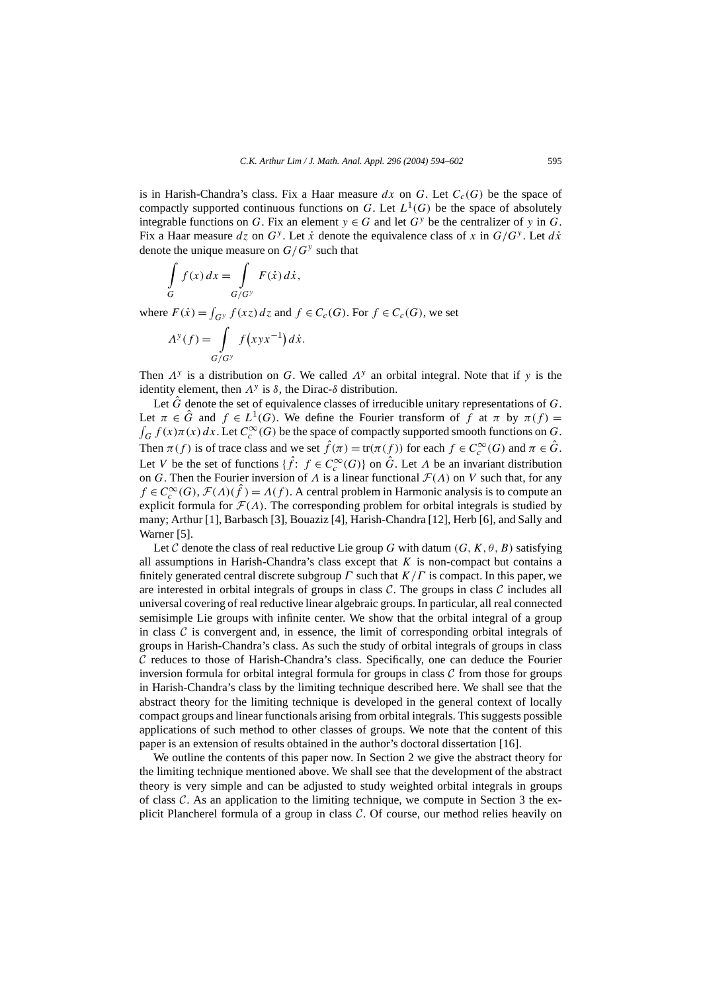is in Harish-Chandra's class. Fix a Haar measure  $dx$  on  $G$ . Let  $C_c(G)$  be the space of compactly supported continuous functions on *G*. Let  $L^1(G)$  be the space of absolutely integrable functions on *G*. Fix an element  $y \in G$  and let  $G<sup>y</sup>$  be the centralizer of *y* in *G*. Fix a Haar measure  $dz$  on  $G^y$ . Let  $\dot{x}$  denote the equivalence class of x in  $G/G^y$ . Let  $d\dot{x}$ denote the unique measure on *G/G<sup>y</sup>* such that

$$
\int\limits_G f(x) \, dx = \int\limits_{G/G^y} F(\dot{x}) \, d\dot{x},
$$

where  $F(\dot{x}) = \int_{G^y} f(xz) dz$  and  $f \in C_c(G)$ . For  $f \in C_c(G)$ , we set

$$
A^{y}(f) = \int\limits_{G/G^{y}} f\left(xyx^{-1}\right)dx.
$$

Then  $\Lambda^y$  is a distribution on *G*. We called  $\Lambda^y$  an orbital integral. Note that if *y* is the identity element, then  $Λ<sup>y</sup>$  is  $δ$ , the Dirac- $δ$  distribution.

Let  $\hat{G}$  denote the set of equivalence classes of irreducible unitary representations of  $G$ . Let  $\pi \in \hat{G}$  and  $f \in L^1(G)$ . We define the Fourier transform of  $f$  at  $\pi$  by  $\pi(f) =$  $\int_G f(x)\pi(x) dx$ . Let  $C_c^{\infty}(G)$  be the space of compactly supported smooth functions on *G*. Then  $\pi(f)$  is of trace class and we set  $\hat{f}(\pi) = \text{tr}(\pi(f))$  for each  $f \in C_c^{\infty}(G)$  and  $\pi \in \hat{G}$ . Let *V* be the set of functions  $\{\hat{f}: f \in C_c^{\infty}(G)\}$  on  $\hat{G}$ . Let  $\Lambda$  be an invariant distribution on *G*. Then the Fourier inversion of  $\Lambda$  is a linear functional  $\mathcal{F}(\Lambda)$  on *V* such that, for any  $f \in C_c^{\infty}(G)$ ,  $\mathcal{F}(\Lambda)(\hat{f}) = \Lambda(f)$ . A central problem in Harmonic analysis is to compute an explicit formula for  $\mathcal{F}(\Lambda)$ . The corresponding problem for orbital integrals is studied by many; Arthur [1], Barbasch [3], Bouaziz [4], Harish-Chandra [12], Herb [6], and Sally and Warner [5].

Let C denote the class of real reductive Lie group G with datum  $(G, K, \theta, B)$  satisfying all assumptions in Harish-Chandra's class except that *K* is non-compact but contains a finitely generated central discrete subgroup *Γ* such that *K/Γ* is compact. In this paper, we are interested in orbital integrals of groups in class  $C$ . The groups in class  $C$  includes all universal covering of real reductive linear algebraic groups. In particular, all real connected semisimple Lie groups with infinite center. We show that the orbital integral of a group in class  $\mathcal C$  is convergent and, in essence, the limit of corresponding orbital integrals of groups in Harish-Chandra's class. As such the study of orbital integrals of groups in class  $C$  reduces to those of Harish-Chandra's class. Specifically, one can deduce the Fourier inversion formula for orbital integral formula for groups in class  $C$  from those for groups in Harish-Chandra's class by the limiting technique described here. We shall see that the abstract theory for the limiting technique is developed in the general context of locally compact groups and linear functionals arising from orbital integrals. This suggests possible applications of such method to other classes of groups. We note that the content of this paper is an extension of results obtained in the author's doctoral dissertation [16].

We outline the contents of this paper now. In Section 2 we give the abstract theory for the limiting technique mentioned above. We shall see that the development of the abstract theory is very simple and can be adjusted to study weighted orbital integrals in groups of class  $\mathcal C$ . As an application to the limiting technique, we compute in Section 3 the explicit Plancherel formula of a group in class  $C$ . Of course, our method relies heavily on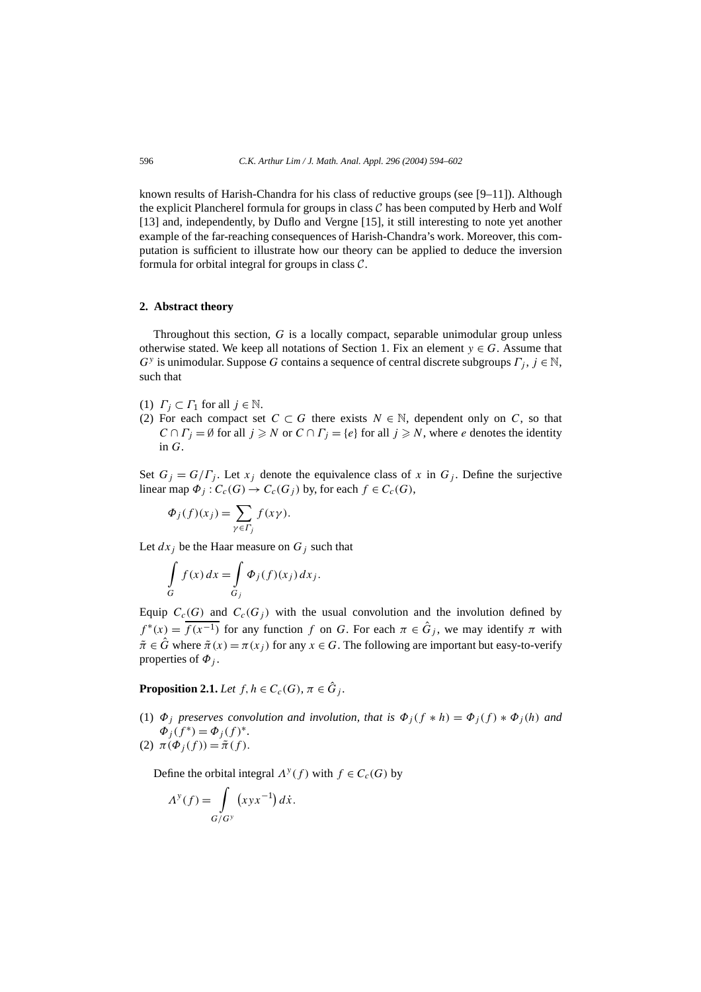known results of Harish-Chandra for his class of reductive groups (see [9–11]). Although the explicit Plancherel formula for groups in class  $C$  has been computed by Herb and Wolf [13] and, independently, by Duflo and Vergne [15], it still interesting to note yet another example of the far-reaching consequences of Harish-Chandra's work. Moreover, this computation is sufficient to illustrate how our theory can be applied to deduce the inversion formula for orbital integral for groups in class  $C$ .

#### **2. Abstract theory**

Throughout this section, *G* is a locally compact, separable unimodular group unless otherwise stated. We keep all notations of Section 1. Fix an element  $y \in G$ . Assume that *G<sup>y</sup>* is unimodular. Suppose *G* contains a sequence of central discrete subgroups *Γj* , *j* ∈ N, such that

- (1)  $\Gamma_j \subset \Gamma_1$  for all  $j \in \mathbb{N}$ .
- (2) For each compact set  $C \subset G$  there exists  $N \in \mathbb{N}$ , dependent only on *C*, so that  $C \cap \Gamma_i = \emptyset$  for all  $j \geq N$  or  $C \cap \Gamma_j = \{e\}$  for all  $j \geq N$ , where *e* denotes the identity in *G*.

Set  $G_j = G/\Gamma_j$ . Let  $x_j$  denote the equivalence class of x in  $G_j$ . Define the surjective linear map  $\Phi_i$ :  $C_c(G) \to C_c(G_i)$  by, for each  $f \in C_c(G)$ ,

$$
\Phi_j(f)(x_j) = \sum_{\gamma \in \Gamma_j} f(x\gamma).
$$

Let  $dx_j$  be the Haar measure on  $G_j$  such that

$$
\int\limits_G f(x) dx = \int\limits_{G_j} \Phi_j(f)(x_j) dx_j.
$$

Equip  $C_c(G)$  and  $C_c(G_i)$  with the usual convolution and the involution defined by  $f^{*}(x) = \overline{f(x^{-1})}$  for any function *f* on *G*. For each  $\pi \in \hat{G}_j$ , we may identify  $\pi$  with  $\tilde{\pi} \in \hat{G}$  where  $\tilde{\pi}(x) = \pi(x_i)$  for any  $x \in G$ . The following are important but easy-to-verify properties of  $\Phi_i$ .

**Proposition 2.1.** *Let*  $f, h \in C_c(G)$ *,*  $\pi \in \hat{G}_i$ *.* 

(1)  $\Phi_i$  preserves convolution and involution, that is  $\Phi_i(f * h) = \Phi_i(f) * \Phi_i(h)$  and  $\Phi_i(f^*) = \Phi_i(f)^*$ .

(2)  $\pi(\Phi_i(f)) = \tilde{\pi}(f)$ .

Define the orbital integral  $\Lambda^{y}(f)$  with  $f \in C_c(G)$  by

$$
A^y(f) = \int\limits_{G/G^y} (xyx^{-1}) \, dx.
$$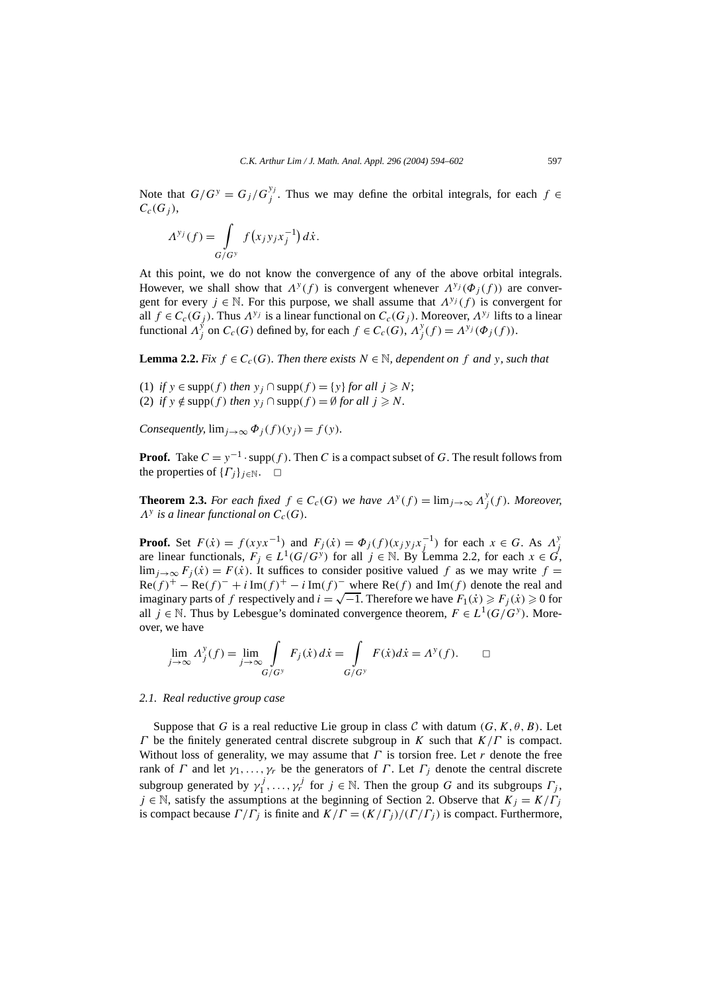Note that  $G/G^y = G_j/G_j^{y_j}$ . Thus we may define the orbital integrals, for each  $f \in$  $C_c(G_i)$ ,

$$
\Lambda^{y_j}(f) = \int\limits_{G/G^y} f(x_j y_j x_j^{-1}) dx.
$$

At this point, we do not know the convergence of any of the above orbital integrals. However, we shall show that  $\Lambda^{y}(f)$  is convergent whenever  $\Lambda^{y}(\Phi_{i}(f))$  are convergent for every  $j \in \mathbb{N}$ . For this purpose, we shall assume that  $\Lambda^{y_j}(f)$  is convergent for all  $f \in C_c(G_j)$ . Thus  $A^{y_j}$  is a linear functional on  $C_c(G_j)$ . Moreover,  $A^{y_j}$  lifts to a linear functional  $A_j^y$  on  $C_c(G)$  defined by, for each  $f \in C_c(G)$ ,  $A_j^y(f) = A^{y_j}(\Phi_j(f))$ .

**Lemma 2.2.** *Fix*  $f \in C_c(G)$ *. Then there exists*  $N \in \mathbb{N}$ *, dependent on*  $f$  *and*  $y$ *, such that* 

(1) *if*  $y \in \text{supp}(f)$  *then*  $y_i \cap \text{supp}(f) = \{y\}$  *for all*  $i \geq N$ ; (2) *if*  $y \notin \text{supp}(f)$  *then*  $y_j \cap \text{supp}(f) = \emptyset$  *for all*  $j \ge N$ *.* 

*Consequently,*  $\lim_{i\to\infty} \Phi_i(f)(y_i) = f(y)$ *.* 

**Proof.** Take  $C = y^{-1} \cdot \text{supp}(f)$ . Then *C* is a compact subset of *G*. The result follows from the properties of  $\{\Gamma_i\}_{i\in\mathbb{N}}$ .  $\Box$ 

**Theorem 2.3.** For each fixed  $f \in C_c(G)$  we have  $\Lambda^y(f) = \lim_{j \to \infty} \Lambda^y(f)$ . Moreover,  $\Lambda^y$  *is a linear functional on*  $C_c(G)$ *.* 

**Proof.** Set  $F(\dot{x}) = f(xyx^{-1})$  and  $F_j(\dot{x}) = \Phi_j(f)(x_jy_jx_j^{-1})$  for each  $x \in G$ . As  $\Lambda_j^y$ are linear functionals,  $F_j \in L^1(G/G^y)$  for all  $j \in \mathbb{N}$ . By Lemma 2.2, for each  $x \in G$ , lim<sub>*j*→∞</sub>  $F_j(x) = F(x)$ . It suffices to consider positive valued *f* as we may write *f* =  $Re(f)^+ - Re(f)^- + i Im(f)^+ - i Im(f)^-$  where  $Re(f)$  and  $Im(f)$  denote the real and imaginary parts of *f* respectively and  $i = \sqrt{-1}$ . Therefore we have  $F_1(\dot{x}) \geq F_i(\dot{x}) \geq 0$  for all *j* ∈ N. Thus by Lebesgue's dominated convergence theorem,  $F ∈ L<sup>1</sup>(G/G<sup>y</sup>)$ . Moreover, we have

$$
\lim_{j \to \infty} \Lambda_j^y(f) = \lim_{j \to \infty} \int_{G/G^y} F_j(\dot{x}) d\dot{x} = \int_{G/G^y} F(\dot{x}) d\dot{x} = \Lambda^y(f). \qquad \Box
$$

#### *2.1. Real reductive group case*

Suppose that *G* is a real reductive Lie group in class *C* with datum  $(G, K, \theta, B)$ . Let *Γ* be the finitely generated central discrete subgroup in *K* such that *K/Γ* is compact. Without loss of generality, we may assume that  $\Gamma$  is torsion free. Let  $r$  denote the free rank of *Γ* and let  $γ_1, \ldots, γ_r$  be the generators of *Γ*. Let  $Γ_j$  denote the central discrete subgroup generated by  $\gamma_1^j, \ldots, \gamma_r^j$  for  $j \in \mathbb{N}$ . Then the group *G* and its subgroups  $\Gamma_j$ ,  $j \in \mathbb{N}$ , satisfy the assumptions at the beginning of Section 2. Observe that  $K_j = K/\Gamma_j$ is compact because  $\Gamma/\Gamma_i$  is finite and  $K/\Gamma = (K/\Gamma_i)/(\Gamma/\Gamma_i)$  is compact. Furthermore,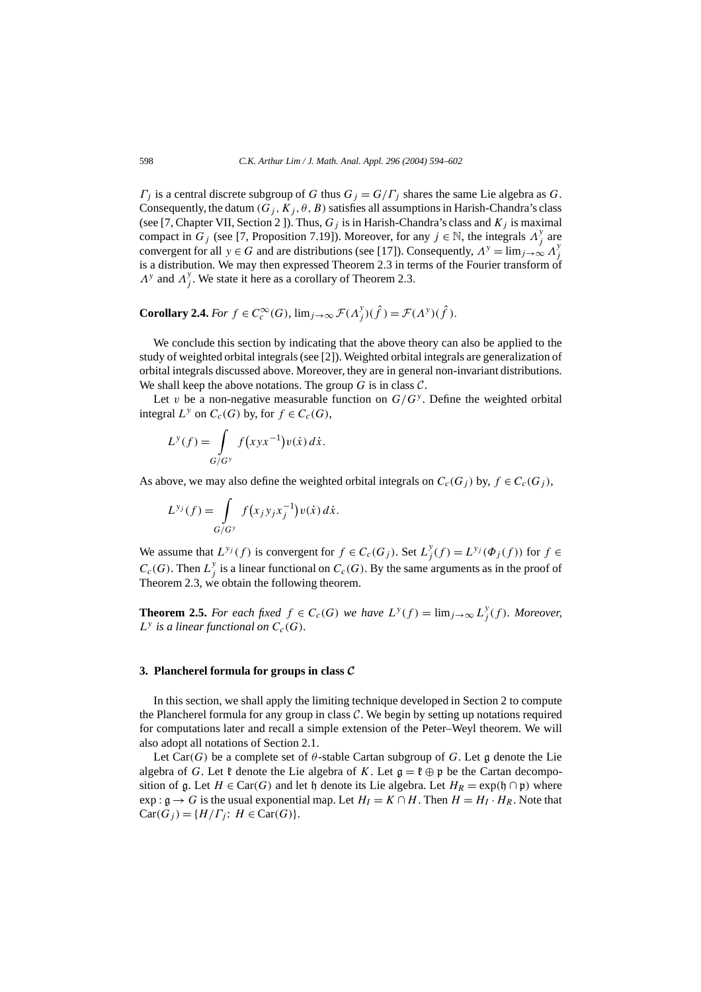*Γ<sub>j</sub>* is a central discrete subgroup of *G* thus  $G_j = G/\Gamma_j$  shares the same Lie algebra as *G*. Consequently, the datum  $(G_j, K_j, \theta, B)$  satisfies all assumptions in Harish-Chandra's class (see [7, Chapter VII, Section 2 ]). Thus,  $G_j$  is in Harish-Chandra's class and  $K_j$  is maximal compact in *G<sub>j</sub>* (see [7, Proposition 7.19]). Moreover, for any  $j \in \mathbb{N}$ , the integrals  $\Lambda_j^y$  are convergent for all  $y \in G$  and are distributions (see [17]). Consequently,  $A^y = \lim_{j \to \infty} A^y_j$ is a distribution. We may then expressed Theorem 2.3 in terms of the Fourier transform of  $\Lambda$ <sup>y</sup> and  $\Lambda$ <sup>y</sup><sub>j</sub>. We state it here as a corollary of Theorem 2.3.

**Corollary 2.4.** *For*  $f \in C_c^{\infty}(G)$ *,*  $\lim_{j \to \infty} \mathcal{F}(A_j^y)(\hat{f}) = \mathcal{F}(A^y)(\hat{f})$ *.* 

We conclude this section by indicating that the above theory can also be applied to the study of weighted orbital integrals (see [2]). Weighted orbital integrals are generalization of orbital integrals discussed above. Moreover, they are in general non-invariant distributions. We shall keep the above notations. The group  $G$  is in class  $C$ .

Let *v* be a non-negative measurable function on  $G/G<sup>y</sup>$ . Define the weighted orbital integral  $L^y$  on  $C_c(G)$  by, for  $f \in C_c(G)$ ,

$$
L^{y}(f) = \int\limits_{G/G^{y}} f\big(xyx^{-1}\big)v(\dot{x})\,d\dot{x}.
$$

As above, we may also define the weighted orbital integrals on  $C_c(G_i)$  by,  $f \in C_c(G_i)$ ,

$$
L^{y_j}(f) = \int\limits_{G/G^y} f(x_j y_j x_j^{-1}) v(\dot{x}) d\dot{x}.
$$

We assume that  $L^{y_j}(f)$  is convergent for  $f \in C_c(G_j)$ . Set  $L^y_j(f) = L^{y_j}(\Phi_j(f))$  for  $f \in$  $C_c(G)$ . Then  $L_j^y$  is a linear functional on  $C_c(G)$ . By the same arguments as in the proof of Theorem 2.3, we obtain the following theorem.

**Theorem 2.5.** For each fixed  $f \in C_c(G)$  we have  $L^y(f) = \lim_{j \to \infty} L^y(f)$ . Moreover,  $L^y$  *is a linear functional on*  $C_c(G)$ *.* 

#### **3. Plancherel formula for groups in class** *C*

In this section, we shall apply the limiting technique developed in Section 2 to compute the Plancherel formula for any group in class  $C$ . We begin by setting up notations required for computations later and recall a simple extension of the Peter–Weyl theorem. We will also adopt all notations of Section 2.1.

Let Car $(G)$  be a complete set of  $\theta$ -stable Cartan subgroup of *G*. Let g denote the Lie algebra of *G*. Let  $\mathfrak k$  denote the Lie algebra of *K*. Let  $\mathfrak g = \mathfrak k \oplus \mathfrak p$  be the Cartan decomposition of g. Let  $H \in \text{Car}(G)$  and let h denote its Lie algebra. Let  $H_R = \exp(\mathfrak{h} \cap \mathfrak{p})$  where exp :  $g \rightarrow G$  is the usual exponential map. Let  $H_I = K \cap H$ . Then  $H = H_I \cdot H_R$ . Note that  $Car(G_j) = {H/\Gamma_j: H \in Car(G)}$ .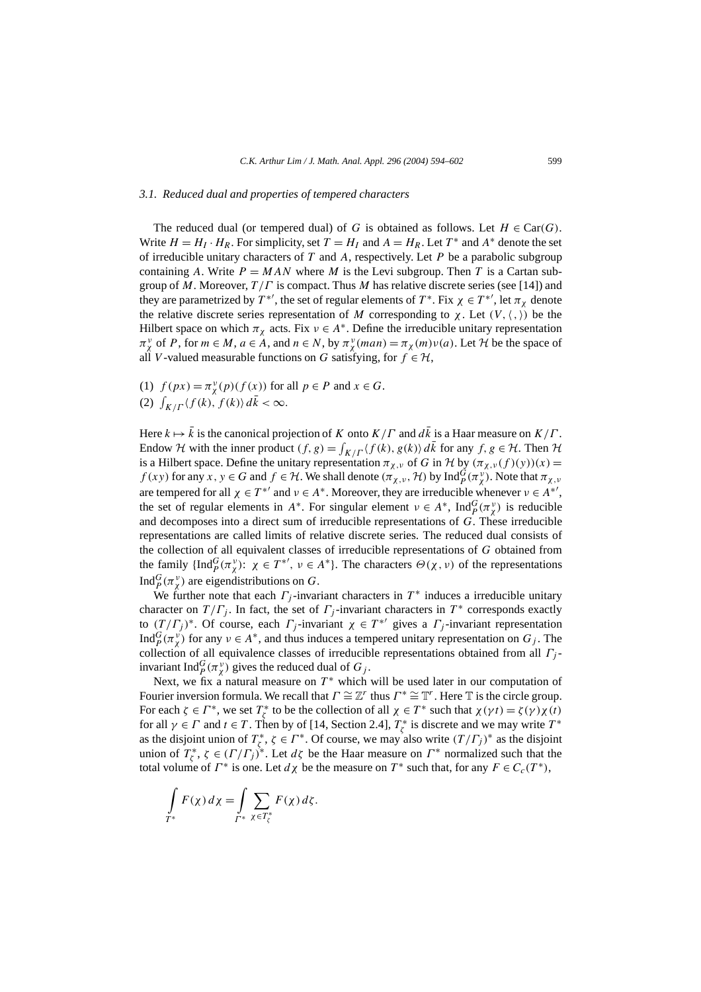#### *3.1. Reduced dual and properties of tempered characters*

The reduced dual (or tempered dual) of *G* is obtained as follows. Let  $H \in \text{Car}(G)$ . Write  $H = H_I \cdot H_R$ . For simplicity, set  $T = H_I$  and  $A = H_R$ . Let  $T^*$  and  $A^*$  denote the set of irreducible unitary characters of *T* and *A*, respectively. Let *P* be a parabolic subgroup containing *A*. Write  $P = MAN$  where *M* is the Levi subgroup. Then *T* is a Cartan subgroup of *M*. Moreover, *T /Γ* is compact. Thus *M* has relative discrete series (see [14]) and they are parametrized by  $T^{*'}$ , the set of regular elements of  $T^*$ . Fix  $\chi \in T^{*'}$ , let  $\pi_{\chi}$  denote the relative discrete series representation of *M* corresponding to  $\chi$ . Let  $(V, \langle, \rangle)$  be the Hilbert space on which  $\pi_{\chi}$  acts. Fix  $\nu \in A^*$ . Define the irreducible unitary representation  $\pi^{\nu}_\chi$  of *P*, for  $m \in M$ ,  $a \in A$ , and  $n \in N$ , by  $\pi^{\nu}_\chi(man) = \pi_\chi(m)\nu(a)$ . Let  $\mathcal H$  be the space of all *V*-valued measurable functions on *G* satisfying, for  $f \in H$ ,

- (1)  $f(px) = \pi^{\nu}_\chi(p)(f(x))$  for all  $p \in P$  and  $x \in G$ .
- (2)  $\int_{K/\Gamma} \langle f(k), f(k) \rangle d\bar{k} < \infty$ .

Here  $k \mapsto \bar{k}$  is the canonical projection of *K* onto  $K/\Gamma$  and  $d\bar{k}$  is a Haar measure on  $K/\Gamma$ . Endow H with the inner product  $(f, g) = \int_{K/\Gamma} \langle f(k), g(k) \rangle d\bar{k}$  for any  $f, g \in H$ . Then H is a Hilbert space. Define the unitary representation  $\pi_{\chi,\nu}$  of *G* in *H* by  $(\pi_{\chi,\nu}(f)(y))(x) =$ *f* (*xy*) for any *x*, *y*  $\in$  *G* and *f*  $\in$  *H*. We shall denote  $(\pi_{\chi,\nu}, \mathcal{H})$  by  $\text{Ind}_{P}^{G}(\pi_{\chi}^{\nu})$ . Note that  $\pi_{\chi,\nu}$ are tempered for all  $\chi \in T^{*'}$  and  $\nu \in A^*$ . Moreover, they are irreducible whenever  $\nu \in A^{*'}$ , the set of regular elements in *A*<sup>\*</sup>. For singular element  $\nu \in A^*$ , Ind $_P^G(\pi_\chi^\nu)$  is reducible and decomposes into a direct sum of irreducible representations of *G*. These irreducible representations are called limits of relative discrete series. The reduced dual consists of the collection of all equivalent classes of irreducible representations of *G* obtained from the family  $\{\text{Ind}_{P}^{G}(\pi_{\chi}^{\nu})\colon \chi \in T^{*'}$ ,  $\nu \in A^{*}\}\$ . The characters  $\Theta(\chi, \nu)$  of the representations Ind $_{P}^{G}(\pi_{\chi}^{\nu})$  are eigendistributions on *G*.

We further note that each  $\Gamma_i$ -invariant characters in  $T^*$  induces a irreducible unitary character on  $T/\Gamma_i$ . In fact, the set of  $\Gamma_i$ -invariant characters in  $T^*$  corresponds exactly to  $(T/\Gamma_j)^*$ . Of course, each  $\Gamma_j$ -invariant  $\chi \in T^{*'}$  gives a  $\Gamma_j$ -invariant representation Ind ${}^G_P(\pi_\chi^\nu)$  for any  $\nu \in A^*$ , and thus induces a tempered unitary representation on  $G_j$ . The collection of all equivalence classes of irreducible representations obtained from all *Γj* invariant Ind $^G_p(\pi_\chi^v)$  gives the reduced dual of  $G_j$ .

Next, we fix a natural measure on  $T^*$  which will be used later in our computation of Fourier inversion formula. We recall that  $\Gamma \cong \mathbb{Z}^r$  thus  $\Gamma^* \cong \mathbb{T}^r$ . Here  $\mathbb T$  is the circle group. For each  $\zeta \in \Gamma^*$ , we set  $T^*_{\zeta}$  to be the collection of all  $\chi \in \Gamma^*$  such that  $\chi(\gamma t) = \zeta(\gamma) \chi(t)$ for all  $\gamma \in \Gamma$  and  $t \in T$ . Then by of [14, Section 2.4],  $T_{\zeta}^*$  is discrete and we may write  $T^*$ as the disjoint union of  $T^*_\zeta$ ,  $\zeta \in \Gamma^*$ . Of course, we may also write  $(T/\Gamma_j)^*$  as the disjoint union of  $T^*_\zeta$ ,  $\zeta \in (\Gamma/\Gamma_j)^*$ . Let  $d\zeta$  be the Haar measure on  $\Gamma^*$  normalized such that the total volume of *Γ*<sup>\*</sup> is one. Let *d χ* be the measure on *T*<sup>\*</sup> such that, for any *F* ∈ *C<sub>c</sub>*(*T*<sup>\*</sup>),

$$
\int\limits_{T^*} F(\chi) \, d\chi = \int\limits_{T^*} \sum\limits_{\chi \in T_{\zeta}^*} F(\chi) \, d\zeta.
$$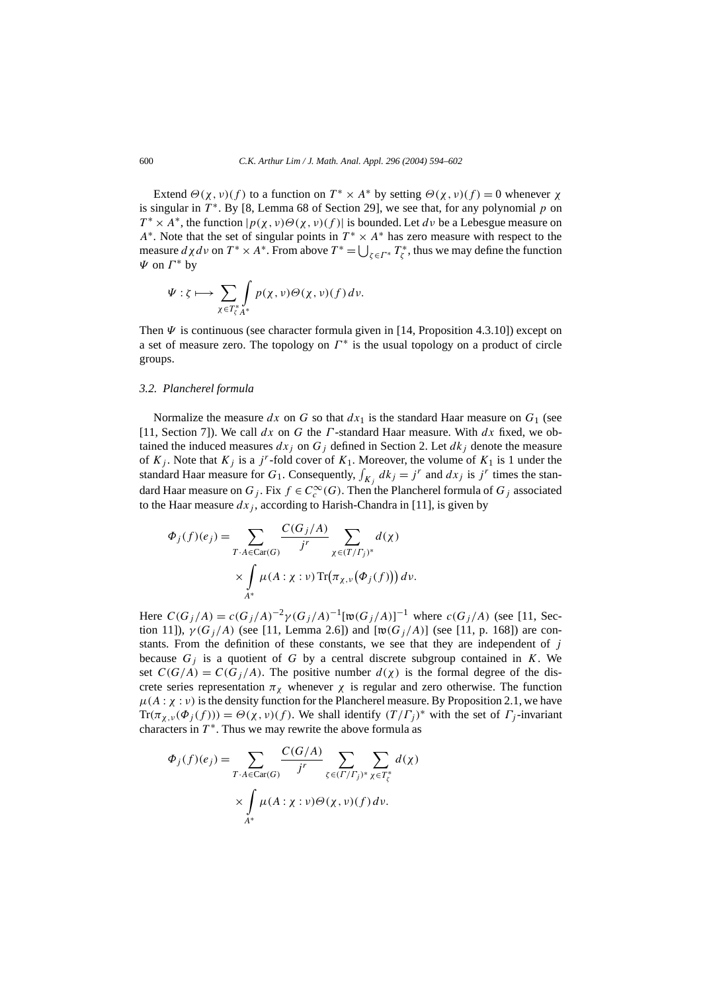Extend *Θ*(*χ*, *ν*)(*f*) to a function on  $T^* \times A^*$  by setting  $Θ(\chi, \nu)(f) = 0$  whenever  $\chi$ is singular in  $T^*$ . By [8, Lemma 68 of Section 29], we see that, for any polynomial p on  $T^* \times A^*$ , the function  $|p(\chi, v) \Theta(\chi, v)(f)|$  is bounded. Let *dv* be a Lebesgue measure on *A*<sup>∗</sup>. Note that the set of singular points in *T*<sup>∗</sup> × *A*<sup>∗</sup> has zero measure with respect to the measure  $d\chi d\nu$  on  $T^* \times A^*$ . From above  $T^* = \bigcup_{\zeta \in \Gamma^*} T^*_{\zeta}$ , thus we may define the function *Ψ* on *Γ* <sup>∗</sup> by

$$
\Psi: \zeta \longmapsto \sum_{\chi \in T_{\zeta}^* A^*} \int_{A^*} p(\chi, \nu) \Theta(\chi, \nu) (f) d\nu.
$$

Then  $\Psi$  is continuous (see character formula given in [14, Proposition 4.3.10]) except on a set of measure zero. The topology on *Γ* <sup>∗</sup> is the usual topology on a product of circle groups.

#### *3.2. Plancherel formula*

Normalize the measure  $dx$  on  $G$  so that  $dx_1$  is the standard Haar measure on  $G_1$  (see [11, Section 7]). We call *dx* on *G* the *Γ* -standard Haar measure. With *dx* fixed, we obtained the induced measures  $dx_i$  on  $G_j$  defined in Section 2. Let  $dk_j$  denote the measure of  $K_j$ . Note that  $K_j$  is a *j*<sup>r</sup>-fold cover of  $K_1$ . Moreover, the volume of  $K_1$  is 1 under the standard Haar measure for  $G_1$ . Consequently,  $\int_{K_j} dk_j = j^r$  and  $dx_j$  is  $j^r$  times the standard Haar measure on  $G_j$ . Fix  $f \in C_c^\infty(G)$ . Then the Plancherel formula of  $G_j$  associated to the Haar measure  $dx_j$ , according to Harish-Chandra in [11], is given by

$$
\Phi_j(f)(e_j) = \sum_{T \cdot A \in \text{Car}(G)} \frac{C(G_j/A)}{j^r} \sum_{\chi \in (T/\Gamma_j)^*} d(\chi)
$$

$$
\times \int_{A^*} \mu(A : \chi : \nu) \text{Tr}(\pi_{\chi, \nu}(\Phi_j(f))) d\nu.
$$

Here  $C(G_j/A) = c(G_j/A)^{-2} \gamma(G_j/A)^{-1}[\mathfrak{w}(G_j/A)]^{-1}$  where  $c(G_j/A)$  (see [11, Section 11]),  $\gamma(G_j/A)$  (see [11, Lemma 2.6]) and  $[w(G_j/A)]$  (see [11, p. 168]) are constants. From the definition of these constants, we see that they are independent of *j* because  $G_j$  is a quotient of  $G$  by a central discrete subgroup contained in  $K$ . We set  $C(G/A) = C(G<sub>j</sub>/A)$ . The positive number  $d(\chi)$  is the formal degree of the discrete series representation  $π<sub>χ</sub>$  whenever  $χ$  is regular and zero otherwise. The function  $\mu(A : \chi : \nu)$  is the density function for the Plancherel measure. By Proposition 2.1, we have Tr( $\pi_{\chi,\nu}(\Phi_i(f))$ ) =  $\Theta(\chi,\nu)(f)$ . We shall identify  $(T/\Gamma_i)^*$  with the set of  $\Gamma_i$ -invariant characters in  $T^*$ . Thus we may rewrite the above formula as

$$
\Phi_j(f)(e_j) = \sum_{T \cdot A \in \text{Car}(G)} \frac{C(G/A)}{j^r} \sum_{\zeta \in (T/\Gamma_j)^*} \sum_{\chi \in T_{\zeta}^*} d(\chi)
$$

$$
\times \int_{A^*} \mu(A : \chi : \nu) \Theta(\chi, \nu) (f) \, d\nu.
$$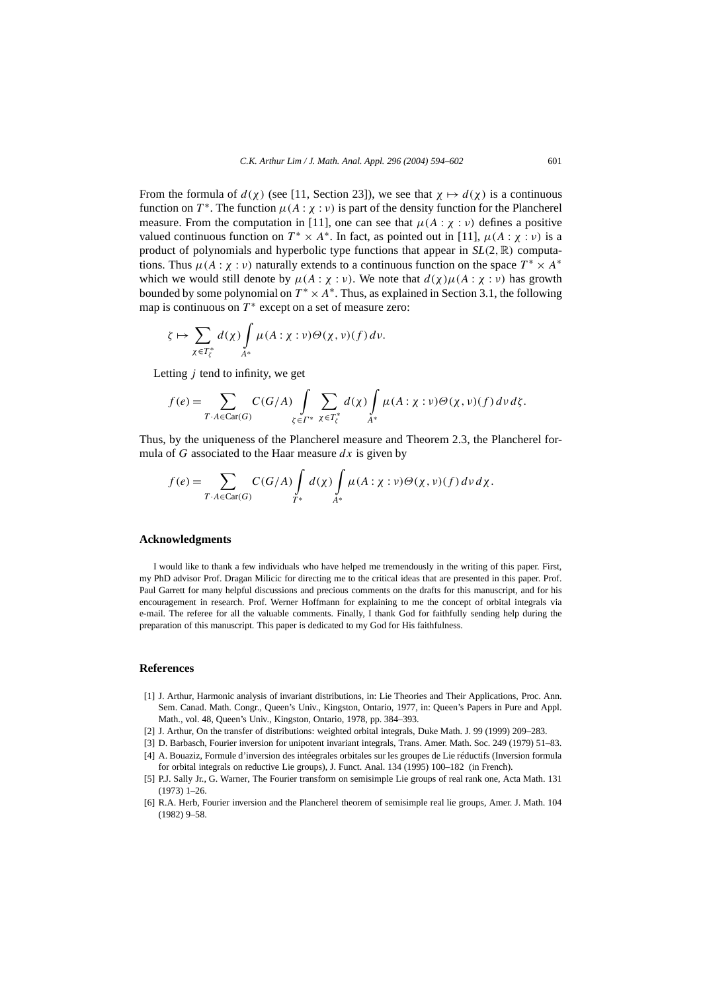From the formula of  $d(\chi)$  (see [11, Section 23]), we see that  $\chi \mapsto d(\chi)$  is a continuous function on  $T^*$ . The function  $\mu(A : \chi : \nu)$  is part of the density function for the Plancherel measure. From the computation in [11], one can see that  $\mu(A : \chi : \nu)$  defines a positive valued continuous function on  $T^* \times A^*$ . In fact, as pointed out in [11],  $\mu(A : \chi : \nu)$  is a product of polynomials and hyperbolic type functions that appear in  $SL(2, \mathbb{R})$  computations. Thus  $\mu(A : \chi : \nu)$  naturally extends to a continuous function on the space  $T^* \times A^*$ which we would still denote by  $\mu(A : \chi : \nu)$ . We note that  $d(\chi)\mu(A : \chi : \nu)$  has growth bounded by some polynomial on  $T^* \times A^*$ . Thus, as explained in Section 3.1, the following map is continuous on  $T^*$  except on a set of measure zero:

$$
\zeta \mapsto \sum_{\chi \in T_{\zeta}^*} d(\chi) \int_{A^*} \mu(A: \chi : \nu) \Theta(\chi, \nu) (f) \, d\nu.
$$

Letting *j* tend to infinity, we get

$$
f(e) = \sum_{T \cdot A \in \text{Car}(G)} C(G/A) \int_{\zeta \in \Gamma^*} \sum_{\chi \in T_{\zeta}^*} d(\chi) \int_{A^*} \mu(A : \chi : \nu) \Theta(\chi, \nu) (f) d\nu d\zeta.
$$

Thus, by the uniqueness of the Plancherel measure and Theorem 2.3, the Plancherel formula of *G* associated to the Haar measure *dx* is given by

$$
f(e) = \sum_{T \cdot A \in \text{Car}(G)} C(G/A) \int_{T^*} d(\chi) \int_{A^*} \mu(A : \chi : \nu) \Theta(\chi, \nu) (f) d\nu d\chi.
$$

#### **Acknowledgments**

I would like to thank a few individuals who have helped me tremendously in the writing of this paper. First, my PhD advisor Prof. Dragan Milicic for directing me to the critical ideas that are presented in this paper. Prof. Paul Garrett for many helpful discussions and precious comments on the drafts for this manuscript, and for his encouragement in research. Prof. Werner Hoffmann for explaining to me the concept of orbital integrals via e-mail. The referee for all the valuable comments. Finally, I thank God for faithfully sending help during the preparation of this manuscript. This paper is dedicated to my God for His faithfulness.

## **References**

- [1] J. Arthur, Harmonic analysis of invariant distributions, in: Lie Theories and Their Applications, Proc. Ann. Sem. Canad. Math. Congr., Queen's Univ., Kingston, Ontario, 1977, in: Queen's Papers in Pure and Appl. Math., vol. 48, Queen's Univ., Kingston, Ontario, 1978, pp. 384–393.
- [2] J. Arthur, On the transfer of distributions: weighted orbital integrals, Duke Math. J. 99 (1999) 209–283.
- [3] D. Barbasch, Fourier inversion for unipotent invariant integrals, Trans. Amer. Math. Soc. 249 (1979) 51–83.
- [4] A. Bouaziz, Formule d'inversion des intéegrales orbitales sur les groupes de Lie réductifs (Inversion formula for orbital integrals on reductive Lie groups), J. Funct. Anal. 134 (1995) 100–182 (in French).
- [5] P.J. Sally Jr., G. Warner, The Fourier transform on semisimple Lie groups of real rank one, Acta Math. 131 (1973) 1–26.
- [6] R.A. Herb, Fourier inversion and the Plancherel theorem of semisimple real lie groups, Amer. J. Math. 104 (1982) 9–58.